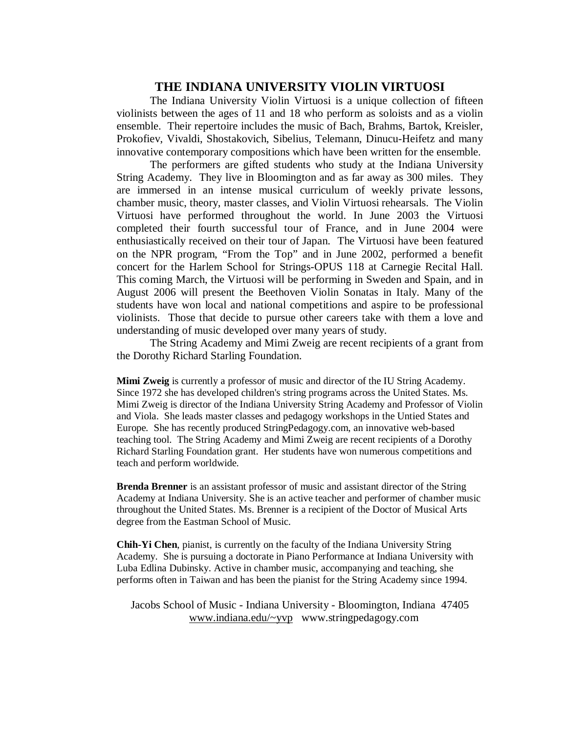## **THE INDIANA UNIVERSITY VIOLIN VIRTUOSI**

 The Indiana University Violin Virtuosi is a unique collection of fifteen violinists between the ages of 11 and 18 who perform as soloists and as a violin ensemble. Their repertoire includes the music of Bach, Brahms, Bartok, Kreisler, Prokofiev, Vivaldi, Shostakovich, Sibelius, Telemann, Dinucu-Heifetz and many innovative contemporary compositions which have been written for the ensemble.

 The performers are gifted students who study at the Indiana University String Academy. They live in Bloomington and as far away as 300 miles. They are immersed in an intense musical curriculum of weekly private lessons, chamber music, theory, master classes, and Violin Virtuosi rehearsals. The Violin Virtuosi have performed throughout the world. In June 2003 the Virtuosi completed their fourth successful tour of France, and in June 2004 were enthusiastically received on their tour of Japan. The Virtuosi have been featured on the NPR program, "From the Top" and in June 2002, performed a benefit concert for the Harlem School for Strings-OPUS 118 at Carnegie Recital Hall. This coming March, the Virtuosi will be performing in Sweden and Spain, and in August 2006 will present the Beethoven Violin Sonatas in Italy. Many of the students have won local and national competitions and aspire to be professional violinists. Those that decide to pursue other careers take with them a love and understanding of music developed over many years of study.

 The String Academy and Mimi Zweig are recent recipients of a grant from the Dorothy Richard Starling Foundation.

**Mimi Zweig** is currently a professor of music and director of the IU String Academy. Since 1972 she has developed children's string programs across the United States. Ms. Mimi Zweig is director of the Indiana University String Academy and Professor of Violin and Viola. She leads master classes and pedagogy workshops in the Untied States and Europe. She has recently produced StringPedagogy.com, an innovative web-based teaching tool. The String Academy and Mimi Zweig are recent recipients of a Dorothy Richard Starling Foundation grant. Her students have won numerous competitions and teach and perform worldwide.

**Brenda Brenner** is an assistant professor of music and assistant director of the String Academy at Indiana University. She is an active teacher and performer of chamber music throughout the United States. Ms. Brenner is a recipient of the Doctor of Musical Arts degree from the Eastman School of Music.

**Chih-Yi Chen**, pianist, is currently on the faculty of the Indiana University String Academy. She is pursuing a doctorate in Piano Performance at Indiana University with Luba Edlina Dubinsky. Active in chamber music, accompanying and teaching, she performs often in Taiwan and has been the pianist for the String Academy since 1994.

Jacobs School of Music - Indiana University - Bloomington, Indiana 47405 www.indiana.edu/~yvp www.stringpedagogy.com